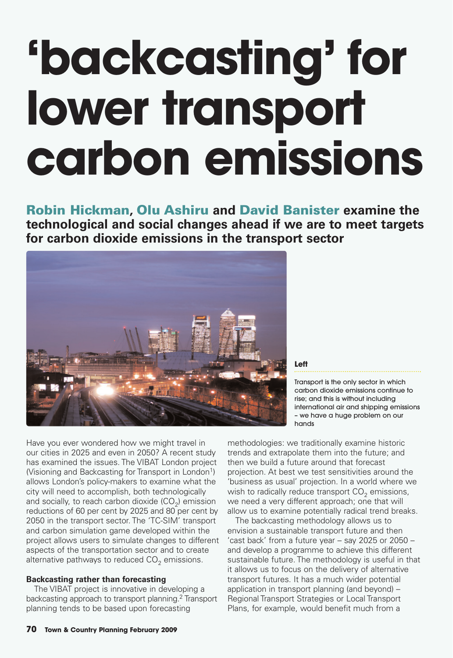## **'backcasting' for lower transport carbon emissions**

Robin Hickman**,** Olu Ashiru **and** David Banister **examine the technological and social changes ahead if we are to meet targets for carbon dioxide emissions in the transport sector**



**Left**

Transport is the only sector in which carbon dioxide emissions continue to rise; and this is without including international air and shipping emissions – we have a huge problem on our hands

Have you ever wondered how we might travel in our cities in 2025 and even in 2050? A recent study has examined the issues. The VIBAT London project (Visioning and Backcasting for Transport in London<sup>1</sup>) allows London's policy-makers to examine what the city will need to accomplish, both technologically and socially, to reach carbon dioxide (CO<sub>2</sub>) emission reductions of 60 per cent by 2025 and 80 per cent by 2050 in the transport sector. The 'TC-SIM' transport and carbon simulation game developed within the project allows users to simulate changes to different aspects of the transportation sector and to create alternative pathways to reduced CO $_2$  emissions.

#### **Backcasting rather than forecasting**

The VIBAT project is innovative in developing a backcasting approach to transport planning. <sup>2</sup> Transport planning tends to be based upon forecasting

methodologies: we traditionally examine historic trends and extrapolate them into the future; and then we build a future around that forecast projection. At best we test sensitivities around the 'business as usual' projection. In a world where we wish to radically reduce transport CO<sub>2</sub> emissions, we need a very different approach; one that will allow us to examine potentially radical trend breaks.

The backcasting methodology allows us to envision a sustainable transport future and then 'cast back' from a future year – say 2025 or 2050 – and develop a programme to achieve this different sustainable future. The methodology is useful in that it allows us to focus on the delivery of alternative transport futures. It has a much wider potential application in transport planning (and beyond) – Regional Transport Strategies or Local Transport Plans, for example, would benefit much from a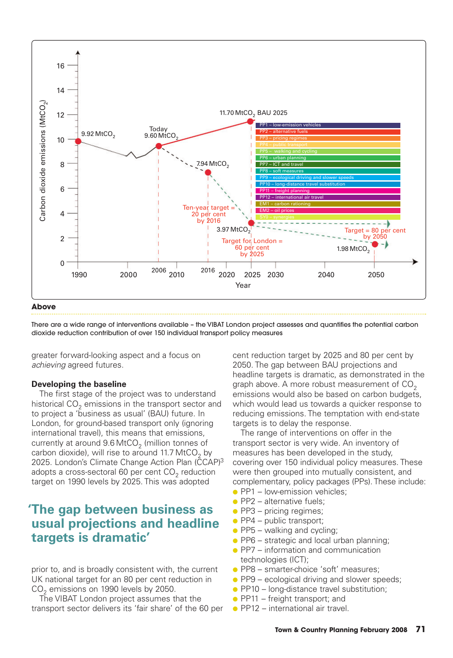

#### **Above**

There are a wide range of interventions available – the VIBAT London project assesses and quantifies the potential carbon dioxide reduction contribution of over 150 individual transport policy measures

greater forward-looking aspect and a focus on achieving agreed futures.

#### **Developing the baseline**

The first stage of the project was to understand historical CO<sub>2</sub> emissions in the transport sector and to project a 'business as usual' (BAU) future. In London, for ground-based transport only (ignoring international travel), this means that emissions, currently at around  $9.6\,$ MtCO $_2$  (million tonnes of carbon dioxide), will rise to around 11.7 MtCO<sub>2</sub> by 2025. London's Climate Change Action Plan (CCAP)<sup>3</sup> adopts a cross-sectoral 60 per cent  $\mathrm{CO}_2$  reduction target on 1990 levels by 2025. This was adopted

#### **'The gap between business as usual projections and headline targets is dramatic'**

prior to, and is broadly consistent with, the current UK national target for an 80 per cent reduction in  $CO<sub>2</sub>$  emissions on 1990 levels by 2050.

The VIBAT London project assumes that the transport sector delivers its 'fair share' of the 60 per cent reduction target by 2025 and 80 per cent by 2050. The gap between BAU projections and headline targets is dramatic, as demonstrated in the graph above. A more robust measurement of  $CO<sub>2</sub>$ emissions would also be based on carbon budgets, which would lead us towards a quicker response to reducing emissions. The temptation with end-state targets is to delay the response.

The range of interventions on offer in the transport sector is very wide. An inventory of measures has been developed in the study, covering over 150 individual policy measures. These were then grouped into mutually consistent, and complementary, policy packages (PPs). These include:

- PP1 low-emission vehicles;
- $\bullet$  PP2 alternative fuels;
- $\bullet$  PP3 pricing regimes;
- $\bullet$  PP4 public transport;
- $\bullet$  PP5 walking and cycling;
- PP6 strategic and local urban planning;
- PP7 information and communication technologies (ICT);
- PP8 smarter-choice 'soft' measures;
- PP9 ecological driving and slower speeds;
- PP10 long-distance travel substitution;
- $\bullet$  PP11 freight transport; and
- $\bullet$  PP12 international air travel.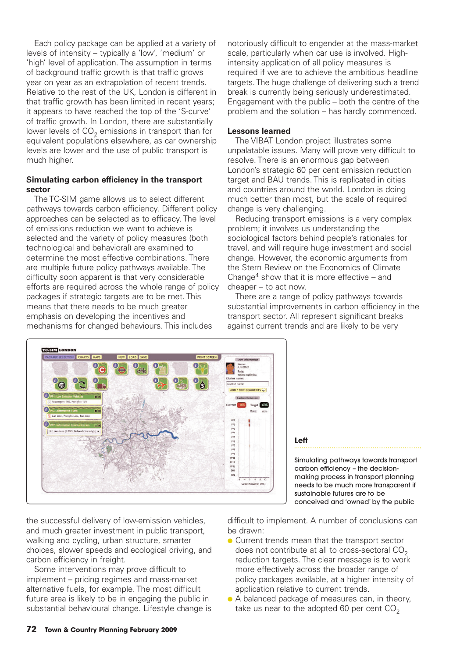Each policy package can be applied at a variety of levels of intensity – typically a 'low', 'medium' or 'high' level of application. The assumption in terms of background traffic growth is that traffic grows year on year as an extrapolation of recent trends. Relative to the rest of the UK, London is different in that traffic growth has been limited in recent years; it appears to have reached the top of the 'S-curve' of traffic growth. In London, there are substantially lower levels of CO<sub>2</sub> emissions in transport than for equivalent populations elsewhere, as car ownership levels are lower and the use of public transport is much higher.

#### **Simulating carbon efficiency in the transport sector**

The TC-SIM game allows us to select different pathways towards carbon efficiency. Different policy approaches can be selected as to efficacy. The level of emissions reduction we want to achieve is selected and the variety of policy measures (both technological and behavioral) are examined to determine the most effective combinations. There are multiple future policy pathways available. The difficulty soon apparent is that very considerable efforts are required across the whole range of policy packages if strategic targets are to be met. This means that there needs to be much greater emphasis on developing the incentives and mechanisms for changed behaviours. This includes

notoriously difficult to engender at the mass-market scale, particularly when car use is involved. Highintensity application of all policy measures is required if we are to achieve the ambitious headline targets. The huge challenge of delivering such a trend break is currently being seriously underestimated. Engagement with the public – both the centre of the problem and the solution – has hardly commenced.

#### **Lessons learned**

The VIBAT London project illustrates some unpalatable issues. Many will prove very difficult to resolve. There is an enormous gap between London's strategic 60 per cent emission reduction target and BAU trends. This is replicated in cities and countries around the world. London is doing much better than most, but the scale of required change is very challenging.

Reducing transport emissions is a very complex problem; it involves us understanding the sociological factors behind people's rationales for travel, and will require huge investment and social change. However, the economic arguments from the Stern Review on the Economics of Climate Change<sup>4</sup> show that it is more effective  $-$  and cheaper – to act now.

There are a range of policy pathways towards substantial improvements in carbon efficiency in the transport sector. All represent significant breaks against current trends and are likely to be very



#### **Left**

Simulating pathways towards transport carbon efficiency – the decisionmaking process in transport planning needs to be much more transparent if sustainable futures are to be conceived and 'owned' by the public

the successful delivery of low-emission vehicles, and much greater investment in public transport, walking and cycling, urban structure, smarter choices, slower speeds and ecological driving, and carbon efficiency in freight.

Some interventions may prove difficult to implement – pricing regimes and mass-market alternative fuels, for example. The most difficult future area is likely to be in engaging the public in substantial behavioural change. Lifestyle change is difficult to implement. A number of conclusions can be drawn:

- Current trends mean that the transport sector does not contribute at all to cross-sectoral  $CO<sub>2</sub>$ reduction targets. The clear message is to work more effectively across the broader range of policy packages available, at a higher intensity of application relative to current trends.
- A balanced package of measures can, in theory, take us near to the adopted 60 per cent  $CO<sub>2</sub>$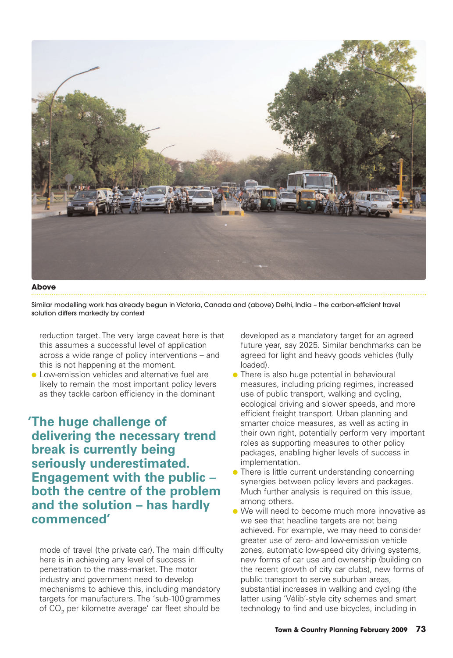

**Above**

Similar modelling work has already begun in Victoria, Canada and (above) Delhi, India – the carbon-efficient travel solution differs markedly by context

reduction target. The very large caveat here is that this assumes a successful level of application across a wide range of policy interventions – and this is not happening at the moment.

● Low-emission vehicles and alternative fuel are likely to remain the most important policy levers as they tackle carbon efficiency in the dominant

**'The huge challenge of delivering the necessary trend break is currently being seriously underestimated. Engagement with the public – both the centre of the problem and the solution – has hardly commenced'**

mode of travel (the private car). The main difficulty here is in achieving any level of success in penetration to the mass-market. The motor industry and government need to develop mechanisms to achieve this, including mandatory targets for manufacturers. The 'sub-100 grammes of CO $_{\rm 2}$  per kilometre average' car fleet should be

developed as a mandatory target for an agreed future year, say 2025. Similar benchmarks can be agreed for light and heavy goods vehicles (fully loaded).

- There is also huge potential in behavioural measures, including pricing regimes, increased use of public transport, walking and cycling, ecological driving and slower speeds, and more efficient freight transport. Urban planning and smarter choice measures, as well as acting in their own right, potentially perform very important roles as supporting measures to other policy packages, enabling higher levels of success in implementation.
- There is little current understanding concerning synergies between policy levers and packages. Much further analysis is required on this issue, among others.
- We will need to become much more innovative as we see that headline targets are not being achieved. For example, we may need to consider greater use of zero- and low-emission vehicle zones, automatic low-speed city driving systems, new forms of car use and ownership (building on the recent growth of city car clubs), new forms of public transport to serve suburban areas, substantial increases in walking and cycling (the latter using 'Vélib'-style city schemes and smart technology to find and use bicycles, including in